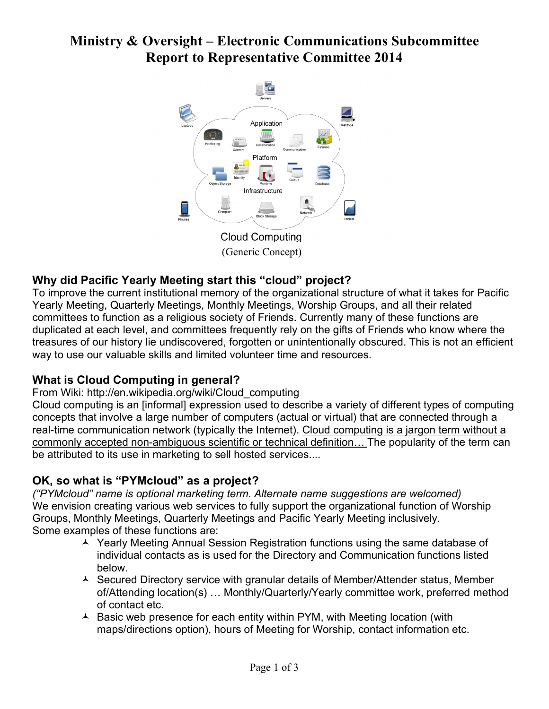# **Ministry & Oversight – Electronic Communications Subcommittee Report to Representative Committee 2014**



(Generic Concept)

## **Why did Pacific Yearly Meeting start this "cloud" project?**

To improve the current institutional memory of the organizational structure of what it takes for Pacific Yearly Meeting, Quarterly Meetings, Monthly Meetings, Worship Groups, and all their related committees to function as a religious society of Friends. Currently many of these functions are duplicated at each level, and committees frequently rely on the gifts of Friends who know where the treasures of our history lie undiscovered, forgotten or unintentionally obscured. This is not an efficient way to use our valuable skills and limited volunteer time and resources.

## **What is Cloud Computing in general?**

From Wiki: http://en.wikipedia.org/wiki/Cloud\_computing

Cloud computing is an [informal] expression used to describe a variety of different types of computing concepts that involve a large number of computers (actual or virtual) that are connected through a real-time communication network (typically the Internet). Cloud computing is a jargon term without a commonly accepted non-ambiguous scientific or technical definition… The popularity of the term can be attributed to its use in marketing to sell hosted services....

## **OK, so what is "PYMcloud" as a project?**

*("PYMcloud" name is optional marketing term. Alternate name suggestions are welcomed)* We envision creating various web services to fully support the organizational function of Worship Groups, Monthly Meetings, Quarterly Meetings and Pacific Yearly Meeting inclusively. Some examples of these functions are:

- Yearly Meeting Annual Session Registration functions using the same database of individual contacts as is used for the Directory and Communication functions listed below.
- ▲ Secured Directory service with granular details of Member/Attender status, Member of/Attending location(s) … Monthly/Quarterly/Yearly committee work, preferred method of contact etc.
- $\triangle$  Basic web presence for each entity within PYM, with Meeting location (with maps/directions option), hours of Meeting for Worship, contact information etc.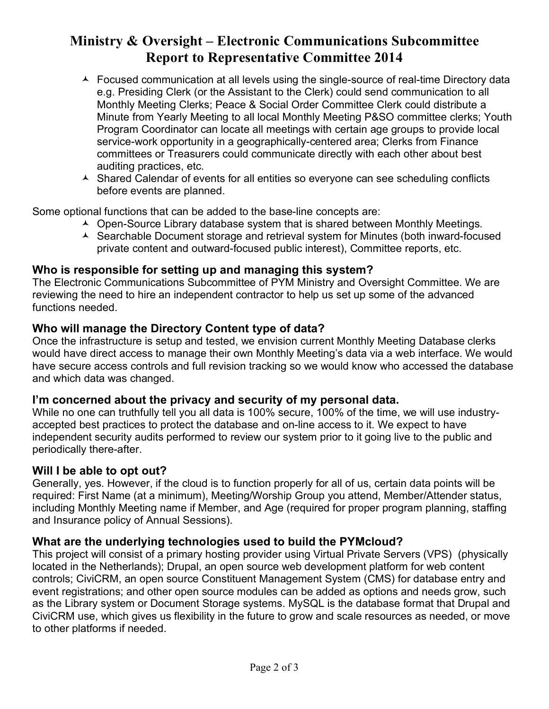## **Ministry & Oversight – Electronic Communications Subcommittee Report to Representative Committee 2014**

- ▲ Focused communication at all levels using the single-source of real-time Directory data e.g. Presiding Clerk (or the Assistant to the Clerk) could send communication to all Monthly Meeting Clerks; Peace & Social Order Committee Clerk could distribute a Minute from Yearly Meeting to all local Monthly Meeting P&SO committee clerks; Youth Program Coordinator can locate all meetings with certain age groups to provide local service-work opportunity in a geographically-centered area; Clerks from Finance committees or Treasurers could communicate directly with each other about best auditing practices, etc.
- $\triangle$  Shared Calendar of events for all entities so everyone can see scheduling conflicts before events are planned.

Some optional functions that can be added to the base-line concepts are:

- ▲ Open-Source Library database system that is shared between Monthly Meetings.
- ▲ Searchable Document storage and retrieval system for Minutes (both inward-focused private content and outward-focused public interest), Committee reports, etc.

### **Who is responsible for setting up and managing this system?**

The Electronic Communications Subcommittee of PYM Ministry and Oversight Committee. We are reviewing the need to hire an independent contractor to help us set up some of the advanced functions needed.

### **Who will manage the Directory Content type of data?**

Once the infrastructure is setup and tested, we envision current Monthly Meeting Database clerks would have direct access to manage their own Monthly Meeting's data via a web interface. We would have secure access controls and full revision tracking so we would know who accessed the database and which data was changed.

#### **I'm concerned about the privacy and security of my personal data.**

While no one can truthfully tell you all data is 100% secure, 100% of the time, we will use industryaccepted best practices to protect the database and on-line access to it. We expect to have independent security audits performed to review our system prior to it going live to the public and periodically there-after.

#### **Will I be able to opt out?**

Generally, yes. However, if the cloud is to function properly for all of us, certain data points will be required: First Name (at a minimum), Meeting/Worship Group you attend, Member/Attender status, including Monthly Meeting name if Member, and Age (required for proper program planning, staffing and Insurance policy of Annual Sessions).

#### **What are the underlying technologies used to build the PYMcloud?**

This project will consist of a primary hosting provider using Virtual Private Servers (VPS) (physically located in the Netherlands); Drupal, an open source web development platform for web content controls; CiviCRM, an open source Constituent Management System (CMS) for database entry and event registrations; and other open source modules can be added as options and needs grow, such as the Library system or Document Storage systems. MySQL is the database format that Drupal and CiviCRM use, which gives us flexibility in the future to grow and scale resources as needed, or move to other platforms if needed.